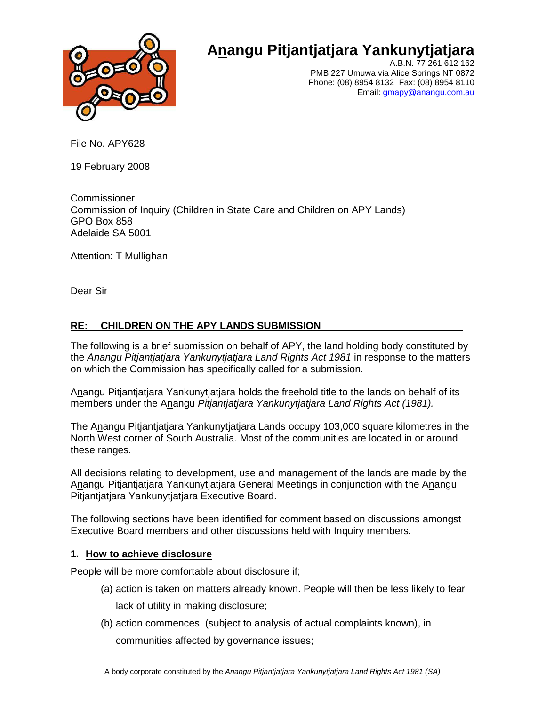

# **Anangu Pitjantjatjara Yankunytjatjara**

A.B.N. 77 261 612 162 PMB 227 Umuwa via Alice Springs NT 0872 Phone: (08) 8954 8132 Fax: (08) 8954 8110 Email: gmapy@anangu.com.au

File No. APY628

19 February 2008

Commissioner Commission of Inquiry (Children in State Care and Children on APY Lands) GPO Box 858 Adelaide SA 5001

Attention: T Mullighan

Dear Sir

## **RE: CHILDREN ON THE APY LANDS SUBMISSION**

The following is a brief submission on behalf of APY, the land holding body constituted by the Anangu Pitjantjatjara Yankunytjatjara Land Rights Act 1981 in response to the matters on which the Commission has specifically called for a submission.

Anangu Pitjantjatjara Yankunytjatjara holds the freehold title to the lands on behalf of its members under the Anangu Pitjantjatjara Yankunytjatjara Land Rights Act (1981).

The Anangu Pitjantjatjara Yankunytjatjara Lands occupy 103,000 square kilometres in the North West corner of South Australia. Most of the communities are located in or around these ranges.

All decisions relating to development, use and management of the lands are made by the Anangu Pitjantjatjara Yankunytjatjara General Meetings in conjunction with the Anangu Pitjantjatjara Yankunytjatjara Executive Board.

The following sections have been identified for comment based on discussions amongst Executive Board members and other discussions held with Inquiry members.

### **1. How to achieve disclosure**

People will be more comfortable about disclosure if;

- (a) action is taken on matters already known. People will then be less likely to fear lack of utility in making disclosure;
- (b) action commences, (subject to analysis of actual complaints known), in

communities affected by governance issues;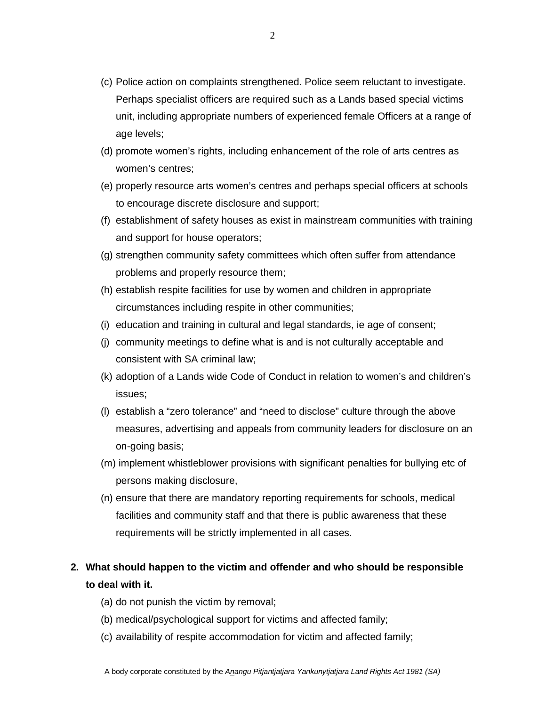- (c) Police action on complaints strengthened. Police seem reluctant to investigate. Perhaps specialist officers are required such as a Lands based special victims unit, including appropriate numbers of experienced female Officers at a range of age levels;
- (d) promote women's rights, including enhancement of the role of arts centres as women's centres;
- (e) properly resource arts women's centres and perhaps special officers at schools to encourage discrete disclosure and support;
- (f) establishment of safety houses as exist in mainstream communities with training and support for house operators;
- (g) strengthen community safety committees which often suffer from attendance problems and properly resource them;
- (h) establish respite facilities for use by women and children in appropriate circumstances including respite in other communities;
- (i) education and training in cultural and legal standards, ie age of consent;
- (j) community meetings to define what is and is not culturally acceptable and consistent with SA criminal law;
- (k) adoption of a Lands wide Code of Conduct in relation to women's and children's issues;
- (l) establish a "zero tolerance" and "need to disclose" culture through the above measures, advertising and appeals from community leaders for disclosure on an on-going basis;
- (m) implement whistleblower provisions with significant penalties for bullying etc of persons making disclosure,
- (n) ensure that there are mandatory reporting requirements for schools, medical facilities and community staff and that there is public awareness that these requirements will be strictly implemented in all cases.

# **2. What should happen to the victim and offender and who should be responsible to deal with it.**

- (a) do not punish the victim by removal;
- (b) medical/psychological support for victims and affected family;
- (c) availability of respite accommodation for victim and affected family;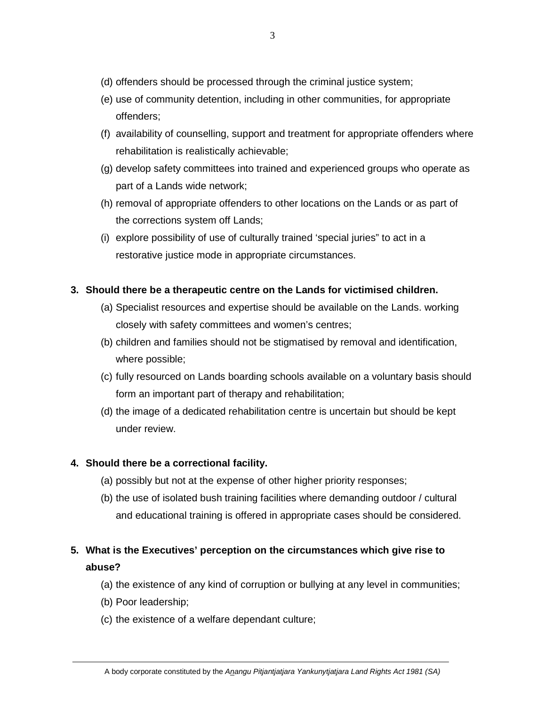- (d) offenders should be processed through the criminal justice system;
- (e) use of community detention, including in other communities, for appropriate offenders;
- (f) availability of counselling, support and treatment for appropriate offenders where rehabilitation is realistically achievable;
- (g) develop safety committees into trained and experienced groups who operate as part of a Lands wide network;
- (h) removal of appropriate offenders to other locations on the Lands or as part of the corrections system off Lands;
- (i) explore possibility of use of culturally trained 'special juries" to act in a restorative justice mode in appropriate circumstances.

#### **3. Should there be a therapeutic centre on the Lands for victimised children.**

- (a) Specialist resources and expertise should be available on the Lands. working closely with safety committees and women's centres;
- (b) children and families should not be stigmatised by removal and identification, where possible;
- (c) fully resourced on Lands boarding schools available on a voluntary basis should form an important part of therapy and rehabilitation;
- (d) the image of a dedicated rehabilitation centre is uncertain but should be kept under review.

#### **4. Should there be a correctional facility.**

- (a) possibly but not at the expense of other higher priority responses;
- (b) the use of isolated bush training facilities where demanding outdoor / cultural and educational training is offered in appropriate cases should be considered.

# **5. What is the Executives' perception on the circumstances which give rise to abuse?**

- (a) the existence of any kind of corruption or bullying at any level in communities;
- (b) Poor leadership;
- (c) the existence of a welfare dependant culture;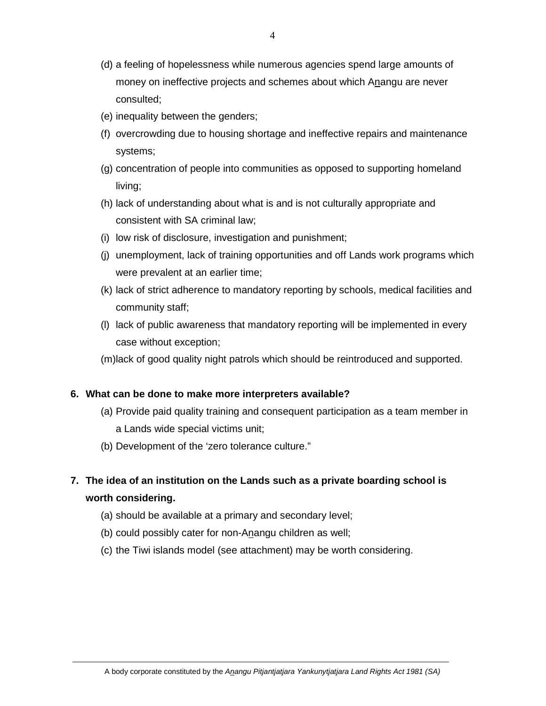- (d) a feeling of hopelessness while numerous agencies spend large amounts of money on ineffective projects and schemes about which Anangu are never consulted;
- (e) inequality between the genders;
- (f) overcrowding due to housing shortage and ineffective repairs and maintenance systems;
- (g) concentration of people into communities as opposed to supporting homeland living;
- (h) lack of understanding about what is and is not culturally appropriate and consistent with SA criminal law;
- (i) low risk of disclosure, investigation and punishment;
- (j) unemployment, lack of training opportunities and off Lands work programs which were prevalent at an earlier time;
- (k) lack of strict adherence to mandatory reporting by schools, medical facilities and community staff;
- (l) lack of public awareness that mandatory reporting will be implemented in every case without exception;
- (m)lack of good quality night patrols which should be reintroduced and supported.

#### **6. What can be done to make more interpreters available?**

- (a) Provide paid quality training and consequent participation as a team member in a Lands wide special victims unit;
- (b) Development of the 'zero tolerance culture."
- **7. The idea of an institution on the Lands such as a private boarding school is worth considering.** 
	- (a) should be available at a primary and secondary level;
	- (b) could possibly cater for non-Anangu children as well;
	- (c) the Tiwi islands model (see attachment) may be worth considering.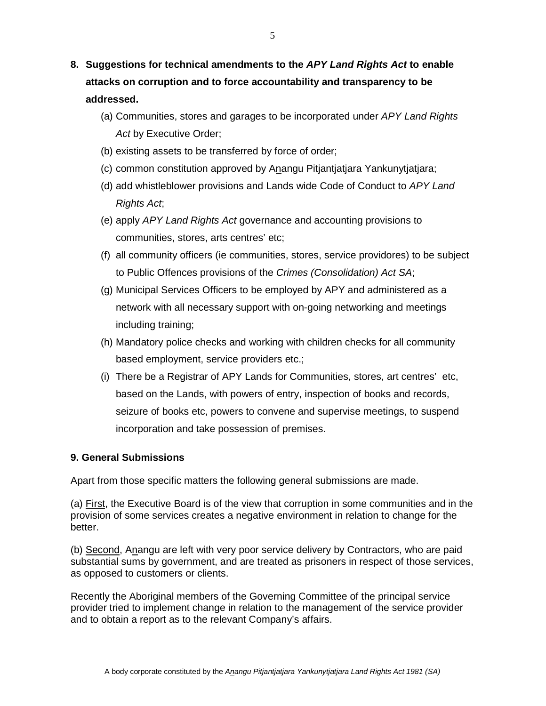- **8. Suggestions for technical amendments to the APY Land Rights Act to enable attacks on corruption and to force accountability and transparency to be addressed.** 
	- (a) Communities, stores and garages to be incorporated under APY Land Rights Act by Executive Order;
	- (b) existing assets to be transferred by force of order;
	- (c) common constitution approved by Anangu Pitjantjatjara Yankunytjatjara;
	- (d) add whistleblower provisions and Lands wide Code of Conduct to APY Land Rights Act;
	- (e) apply APY Land Rights Act governance and accounting provisions to communities, stores, arts centres' etc;
	- (f) all community officers (ie communities, stores, service providores) to be subject to Public Offences provisions of the Crimes (Consolidation) Act SA;
	- (g) Municipal Services Officers to be employed by APY and administered as a network with all necessary support with on-going networking and meetings including training;
	- (h) Mandatory police checks and working with children checks for all community based employment, service providers etc.;
	- (i) There be a Registrar of APY Lands for Communities, stores, art centres' etc, based on the Lands, with powers of entry, inspection of books and records, seizure of books etc, powers to convene and supervise meetings, to suspend incorporation and take possession of premises.

#### **9. General Submissions**

Apart from those specific matters the following general submissions are made.

(a) First, the Executive Board is of the view that corruption in some communities and in the provision of some services creates a negative environment in relation to change for the better.

(b) Second, Anangu are left with very poor service delivery by Contractors, who are paid substantial sums by government, and are treated as prisoners in respect of those services, as opposed to customers or clients.

Recently the Aboriginal members of the Governing Committee of the principal service provider tried to implement change in relation to the management of the service provider and to obtain a report as to the relevant Company's affairs.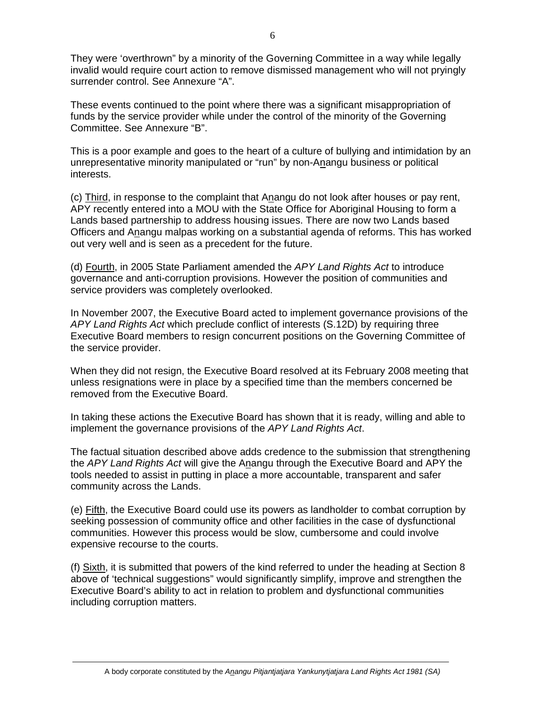They were 'overthrown" by a minority of the Governing Committee in a way while legally invalid would require court action to remove dismissed management who will not pryingly surrender control. See Annexure "A".

These events continued to the point where there was a significant misappropriation of funds by the service provider while under the control of the minority of the Governing Committee. See Annexure "B".

This is a poor example and goes to the heart of a culture of bullying and intimidation by an unrepresentative minority manipulated or "run" by non-Anangu business or political interests.

(c) Third, in response to the complaint that Anangu do not look after houses or pay rent, APY recently entered into a MOU with the State Office for Aboriginal Housing to form a Lands based partnership to address housing issues. There are now two Lands based Officers and Anangu malpas working on a substantial agenda of reforms. This has worked out very well and is seen as a precedent for the future.

(d) Fourth, in 2005 State Parliament amended the APY Land Rights Act to introduce governance and anti-corruption provisions. However the position of communities and service providers was completely overlooked.

In November 2007, the Executive Board acted to implement governance provisions of the APY Land Rights Act which preclude conflict of interests (S.12D) by requiring three Executive Board members to resign concurrent positions on the Governing Committee of the service provider.

When they did not resign, the Executive Board resolved at its February 2008 meeting that unless resignations were in place by a specified time than the members concerned be removed from the Executive Board.

In taking these actions the Executive Board has shown that it is ready, willing and able to implement the governance provisions of the APY Land Rights Act.

The factual situation described above adds credence to the submission that strengthening the APY Land Rights Act will give the Anangu through the Executive Board and APY the tools needed to assist in putting in place a more accountable, transparent and safer community across the Lands.

(e) Fifth, the Executive Board could use its powers as landholder to combat corruption by seeking possession of community office and other facilities in the case of dysfunctional communities. However this process would be slow, cumbersome and could involve expensive recourse to the courts.

(f) Sixth, it is submitted that powers of the kind referred to under the heading at Section 8 above of 'technical suggestions" would significantly simplify, improve and strengthen the Executive Board's ability to act in relation to problem and dysfunctional communities including corruption matters.